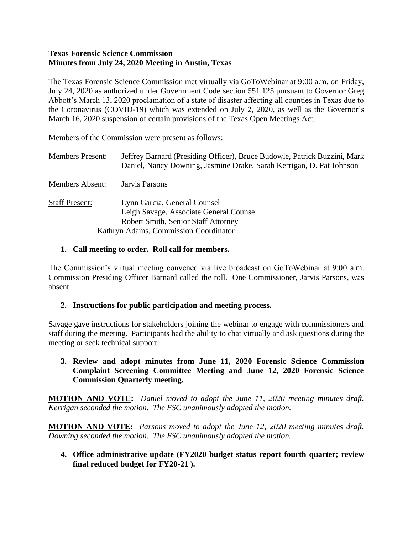#### **Texas Forensic Science Commission Minutes from July 24, 2020 Meeting in Austin, Texas**

The Texas Forensic Science Commission met virtually via GoToWebinar at 9:00 a.m. on Friday, July 24, 2020 as authorized under Government Code section 551.125 pursuant to Governor Greg Abbott's March 13, 2020 proclamation of a state of disaster affecting all counties in Texas due to the Coronavirus (COVID-19) which was extended on July 2, 2020, as well as the Governor's March 16, 2020 suspension of certain provisions of the Texas Open Meetings Act.

Members of the Commission were present as follows:

| <b>Members Present:</b> | Jeffrey Barnard (Presiding Officer), Bruce Budowle, Patrick Buzzini, Mark<br>Daniel, Nancy Downing, Jasmine Drake, Sarah Kerrigan, D. Pat Johnson              |
|-------------------------|----------------------------------------------------------------------------------------------------------------------------------------------------------------|
| <b>Members Absent:</b>  | Jarvis Parsons                                                                                                                                                 |
| <b>Staff Present:</b>   | Lynn Garcia, General Counsel<br>Leigh Savage, Associate General Counsel<br><b>Robert Smith, Senior Staff Attorney</b><br>Kathryn Adams, Commission Coordinator |

### **1. Call meeting to order. Roll call for members.**

The Commission's virtual meeting convened via live broadcast on GoToWebinar at 9:00 a.m. Commission Presiding Officer Barnard called the roll. One Commissioner, Jarvis Parsons, was absent.

### **2. Instructions for public participation and meeting process.**

Savage gave instructions for stakeholders joining the webinar to engage with commissioners and staff during the meeting. Participants had the ability to chat virtually and ask questions during the meeting or seek technical support.

### **3. Review and adopt minutes from June 11, 2020 Forensic Science Commission Complaint Screening Committee Meeting and June 12, 2020 Forensic Science Commission Quarterly meeting.**

**MOTION AND VOTE:** *Daniel moved to adopt the June 11, 2020 meeting minutes draft. Kerrigan seconded the motion. The FSC unanimously adopted the motion.*

**MOTION AND VOTE:** *Parsons moved to adopt the June 12, 2020 meeting minutes draft. Downing seconded the motion. The FSC unanimously adopted the motion.*

**4. Office administrative update (FY2020 budget status report fourth quarter; review final reduced budget for FY20-21 ).**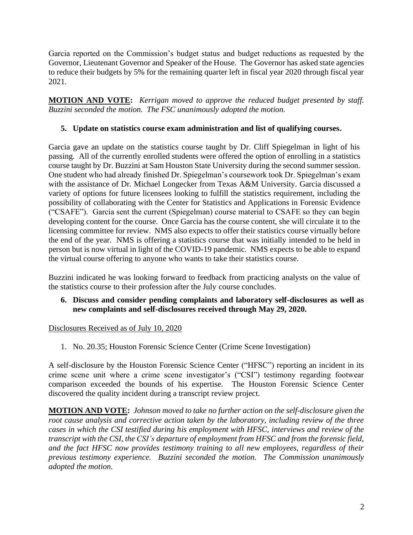Garcia reported on the Commission's budget status and budget reductions as requested by the Governor, Lieutenant Governor and Speaker of the House. The Governor has asked state agencies to reduce their budgets by 5% for the remaining quarter left in fiscal year 2020 through fiscal year 2021.

**MOTION AND VOTE:** *Kerrigan moved to approve the reduced budget presented by staff. Buzzini seconded the motion. The FSC unanimously adopted the motion.*

# **5. Update on statistics course exam administration and list of qualifying courses.**

Garcia gave an update on the statistics course taught by Dr. Cliff Spiegelman in light of his passing*.* All of the currently enrolled students were offered the option of enrolling in a statistics course taught by Dr. Buzzini at Sam Houston State University during the second summer session. One student who had already finished Dr. Spiegelman's coursework took Dr. Spiegelman's exam with the assistance of Dr. Michael Longecker from Texas A&M University. Garcia discussed a variety of options for future licensees looking to fulfill the statistics requirement, including the possibility of collaborating with the Center for Statistics and Applications in Forensic Evidence ("CSAFE"). Garcia sent the current (Spiegelman) course material to CSAFE so they can begin developing content for the course. Once Garcia has the course content, she will circulate it to the licensing committee for review. NMS also expects to offer their statistics course virtually before the end of the year. NMS is offering a statistics course that was initially intended to be held in person but is now virtual in light of the COVID-19 pandemic. NMS expects to be able to expand the virtual course offering to anyone who wants to take their statistics course.

Buzzini indicated he was looking forward to feedback from practicing analysts on the value of the statistics course to their profession after the July course concludes.

**6. Discuss and consider pending complaints and laboratory self-disclosures as well as new complaints and self-disclosures received through May 29, 2020.** 

### Disclosures Received as of July 10, 2020

1. No. 20.35; Houston Forensic Science Center (Crime Scene Investigation)

A self-disclosure by the Houston Forensic Science Center ("HFSC") reporting an incident in its crime scene unit where a crime scene investigator's ("CSI") testimony regarding footwear comparison exceeded the bounds of his expertise. The Houston Forensic Science Center discovered the quality incident during a transcript review project.

**MOTION AND VOTE:** *Johnson moved to take no further action on the self-disclosure given the root cause analysis and corrective action taken by the laboratory, including review of the three cases in which the CSI testified during his employment with HFSC, interviews and review of the transcript with the CSI, the CSI's departure of employment from HFSC and from the forensic field, and the fact HFSC now provides testimony training to all new employees, regardless of their previous testimony experience. Buzzini seconded the motion. The Commission unanimously adopted the motion.*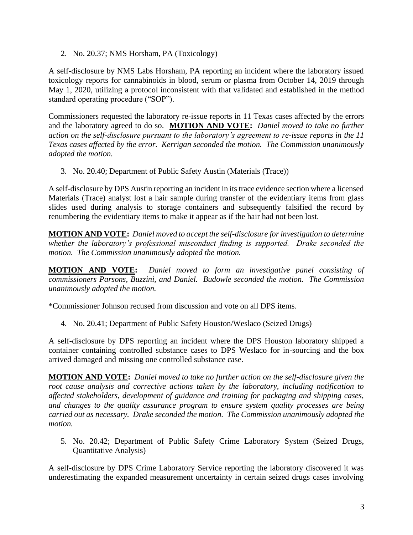2. No. 20.37; NMS Horsham, PA (Toxicology)

A self-disclosure by NMS Labs Horsham, PA reporting an incident where the laboratory issued toxicology reports for cannabinoids in blood, serum or plasma from October 14, 2019 through May 1, 2020, utilizing a protocol inconsistent with that validated and established in the method standard operating procedure ("SOP").

Commissioners requested the laboratory re-issue reports in 11 Texas cases affected by the errors and the laboratory agreed to do so. **MOTION AND VOTE:** *Daniel moved to take no further action on the self-disclosure pursuant to the laboratory's agreement to re-issue reports in the 11 Texas cases affected by the error. Kerrigan seconded the motion. The Commission unanimously adopted the motion.*

3. No. 20.40; Department of Public Safety Austin (Materials (Trace))

A self-disclosure by DPS Austin reporting an incident in its trace evidence section where a licensed Materials (Trace) analyst lost a hair sample during transfer of the evidentiary items from glass slides used during analysis to storage containers and subsequently falsified the record by renumbering the evidentiary items to make it appear as if the hair had not been lost.

**MOTION AND VOTE:** *Daniel moved to accept the self-disclosure for investigation to determine whether the laboratory's professional misconduct finding is supported. Drake seconded the motion. The Commission unanimously adopted the motion.* 

**MOTION AND VOTE:** *Daniel moved to form an investigative panel consisting of commissioners Parsons, Buzzini, and Daniel. Budowle seconded the motion. The Commission unanimously adopted the motion.* 

\*Commissioner Johnson recused from discussion and vote on all DPS items.

4. No. 20.41; Department of Public Safety Houston/Weslaco (Seized Drugs)

A self-disclosure by DPS reporting an incident where the DPS Houston laboratory shipped a container containing controlled substance cases to DPS Weslaco for in-sourcing and the box arrived damaged and missing one controlled substance case.

**MOTION AND VOTE:** *Daniel moved to take no further action on the self-disclosure given the root cause analysis and corrective actions taken by the laboratory, including notification to affected stakeholders, development of guidance and training for packaging and shipping cases, and changes to the quality assurance program to ensure system quality processes are being carried out as necessary. Drake seconded the motion. The Commission unanimously adopted the motion.* 

5. No. 20.42; Department of Public Safety Crime Laboratory System (Seized Drugs, Quantitative Analysis)

A self-disclosure by DPS Crime Laboratory Service reporting the laboratory discovered it was underestimating the expanded measurement uncertainty in certain seized drugs cases involving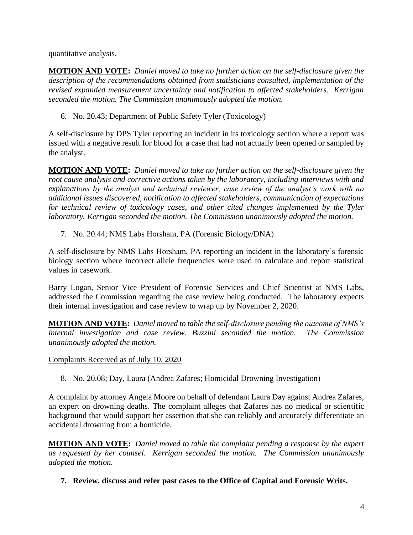quantitative analysis.

**MOTION AND VOTE:** *Daniel moved to take no further action on the self-disclosure given the description of the recommendations obtained from statisticians consulted, implementation of the revised expanded measurement uncertainty and notification to affected stakeholders. Kerrigan seconded the motion. The Commission unanimously adopted the motion.*

6. No. 20.43; Department of Public Safety Tyler (Toxicology)

A self-disclosure by DPS Tyler reporting an incident in its toxicology section where a report was issued with a negative result for blood for a case that had not actually been opened or sampled by the analyst.

**MOTION AND VOTE:** *Daniel moved to take no further action on the self-disclosure given the root cause analysis and corrective actions taken by the laboratory, including interviews with and explanations by the analyst and technical reviewer, case review of the analyst's work with no additional issues discovered, notification to affected stakeholders, communication of expectations for technical review of toxicology cases, and other cited changes implemented by the Tyler laboratory. Kerrigan seconded the motion. The Commission unanimously adopted the motion.* 

7. No. 20.44; NMS Labs Horsham, PA (Forensic Biology/DNA)

A self-disclosure by NMS Labs Horsham, PA reporting an incident in the laboratory's forensic biology section where incorrect allele frequencies were used to calculate and report statistical values in casework.

Barry Logan, Senior Vice President of Forensic Services and Chief Scientist at NMS Labs, addressed the Commission regarding the case review being conducted. The laboratory expects their internal investigation and case review to wrap up by November 2, 2020.

**MOTION AND VOTE:** *Daniel moved to table the self-disclosure pending the outcome of NMS's internal investigation and case review. Buzzini seconded the motion. The Commission unanimously adopted the motion.* 

Complaints Received as of July 10, 2020

8. No. 20.08; Day, Laura (Andrea Zafares; Homicidal Drowning Investigation)

A complaint by attorney Angela Moore on behalf of defendant Laura Day against Andrea Zafares, an expert on drowning deaths. The complaint alleges that Zafares has no medical or scientific background that would support her assertion that she can reliably and accurately differentiate an accidental drowning from a homicide.

**MOTION AND VOTE:** *Daniel moved to table the complaint pending a response by the expert as requested by her counsel. Kerrigan seconded the motion. The Commission unanimously adopted the motion.* 

**7. Review, discuss and refer past cases to the Office of Capital and Forensic Writs.**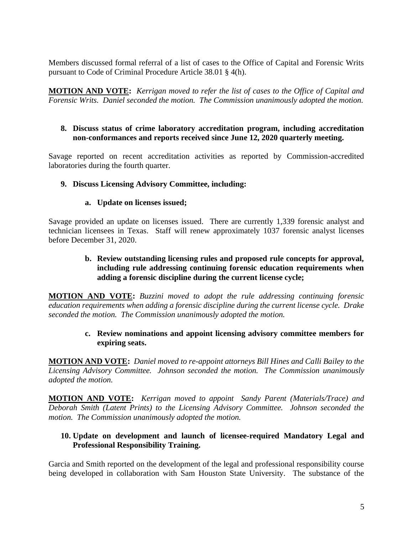Members discussed formal referral of a list of cases to the Office of Capital and Forensic Writs pursuant to Code of Criminal Procedure Article 38.01 § 4(h).

**MOTION AND VOTE:** *Kerrigan moved to refer the list of cases to the Office of Capital and Forensic Writs. Daniel seconded the motion. The Commission unanimously adopted the motion.* 

### **8. Discuss status of crime laboratory accreditation program, including accreditation non-conformances and reports received since June 12, 2020 quarterly meeting.**

Savage reported on recent accreditation activities as reported by Commission-accredited laboratories during the fourth quarter.

#### **9. Discuss Licensing Advisory Committee, including:**

#### **a. Update on licenses issued;**

Savage provided an update on licenses issued. There are currently 1,339 forensic analyst and technician licensees in Texas. Staff will renew approximately 1037 forensic analyst licenses before December 31, 2020.

### **b. Review outstanding licensing rules and proposed rule concepts for approval, including rule addressing continuing forensic education requirements when adding a forensic discipline during the current license cycle;**

**MOTION AND VOTE:** *Buzzini moved to adopt the rule addressing continuing forensic education requirements when adding a forensic discipline during the current license cycle. Drake seconded the motion. The Commission unanimously adopted the motion.* 

#### **c. Review nominations and appoint licensing advisory committee members for expiring seats.**

**MOTION AND VOTE:** *Daniel moved to re-appoint attorneys Bill Hines and Calli Bailey to the Licensing Advisory Committee. Johnson seconded the motion. The Commission unanimously adopted the motion.*

**MOTION AND VOTE:** *Kerrigan moved to appoint Sandy Parent (Materials/Trace) and Deborah Smith (Latent Prints) to the Licensing Advisory Committee. Johnson seconded the motion. The Commission unanimously adopted the motion.* 

### **10. Update on development and launch of licensee-required Mandatory Legal and Professional Responsibility Training.**

Garcia and Smith reported on the development of the legal and professional responsibility course being developed in collaboration with Sam Houston State University. The substance of the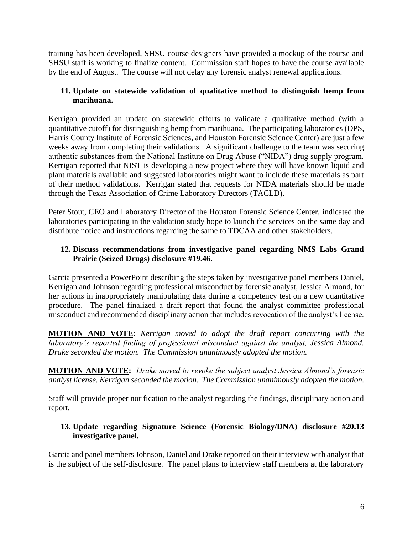training has been developed, SHSU course designers have provided a mockup of the course and SHSU staff is working to finalize content. Commission staff hopes to have the course available by the end of August. The course will not delay any forensic analyst renewal applications.

## **11. Update on statewide validation of qualitative method to distinguish hemp from marihuana.**

Kerrigan provided an update on statewide efforts to validate a qualitative method (with a quantitative cutoff) for distinguishing hemp from marihuana. The participating laboratories (DPS, Harris County Institute of Forensic Sciences, and Houston Forensic Science Center) are just a few weeks away from completing their validations. A significant challenge to the team was securing authentic substances from the National Institute on Drug Abuse ("NIDA") drug supply program. Kerrigan reported that NIST is developing a new project where they will have known liquid and plant materials available and suggested laboratories might want to include these materials as part of their method validations. Kerrigan stated that requests for NIDA materials should be made through the Texas Association of Crime Laboratory Directors (TACLD).

Peter Stout, CEO and Laboratory Director of the Houston Forensic Science Center, indicated the laboratories participating in the validation study hope to launch the services on the same day and distribute notice and instructions regarding the same to TDCAA and other stakeholders.

## **12. Discuss recommendations from investigative panel regarding NMS Labs Grand Prairie (Seized Drugs) disclosure #19.46.**

Garcia presented a PowerPoint describing the steps taken by investigative panel members Daniel, Kerrigan and Johnson regarding professional misconduct by forensic analyst, Jessica Almond, for her actions in inappropriately manipulating data during a competency test on a new quantitative procedure. The panel finalized a draft report that found the analyst committee professional misconduct and recommended disciplinary action that includes revocation of the analyst's license.

**MOTION AND VOTE:** *Kerrigan moved to adopt the draft report concurring with the laboratory's reported finding of professional misconduct against the analyst, Jessica Almond. Drake seconded the motion. The Commission unanimously adopted the motion.* 

**MOTION AND VOTE:** *Drake moved to revoke the subject analyst Jessica Almond's forensic analyst license. Kerrigan seconded the motion. The Commission unanimously adopted the motion.* 

Staff will provide proper notification to the analyst regarding the findings, disciplinary action and report.

## **13. Update regarding Signature Science (Forensic Biology/DNA) disclosure #20.13 investigative panel.**

Garcia and panel members Johnson, Daniel and Drake reported on their interview with analyst that is the subject of the self-disclosure. The panel plans to interview staff members at the laboratory